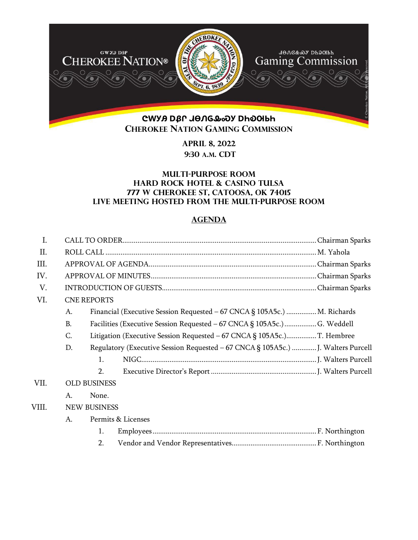

**APRIL 8, 2022 9:30 A.M. CDT** 

## **Multi-purpose room Hard rock hotel & casino Tulsa 777 W Cherokee St, Catoosa, ok 74015 Live meeting hosted from the multi-purpose room**

## **AGENDA**

| I.    |                    |                                                                                  |  |  |  |
|-------|--------------------|----------------------------------------------------------------------------------|--|--|--|
| Π.    |                    |                                                                                  |  |  |  |
| III.  |                    |                                                                                  |  |  |  |
| IV.   |                    |                                                                                  |  |  |  |
| V.    |                    |                                                                                  |  |  |  |
| VI.   | <b>CNE REPORTS</b> |                                                                                  |  |  |  |
|       | A.                 | Financial (Executive Session Requested – 67 CNCA § 105A5c.)  M. Richards         |  |  |  |
|       | <b>B.</b>          | Facilities (Executive Session Requested - 67 CNCA § 105A5c.)  G. Weddell         |  |  |  |
|       | C.                 |                                                                                  |  |  |  |
|       | D.                 | Regulatory (Executive Session Requested - 67 CNCA § 105A5c.)  J. Walters Purcell |  |  |  |
|       |                    | $\mathbf{1}$ .                                                                   |  |  |  |
|       |                    | 2.                                                                               |  |  |  |
| VII.  |                    | <b>OLD BUSINESS</b>                                                              |  |  |  |
|       | A.                 | None.                                                                            |  |  |  |
| VIII. |                    | <b>NEW BUSINESS</b>                                                              |  |  |  |
|       | A.                 | Permits & Licenses                                                               |  |  |  |
|       |                    | 1.                                                                               |  |  |  |
|       |                    | 2.                                                                               |  |  |  |